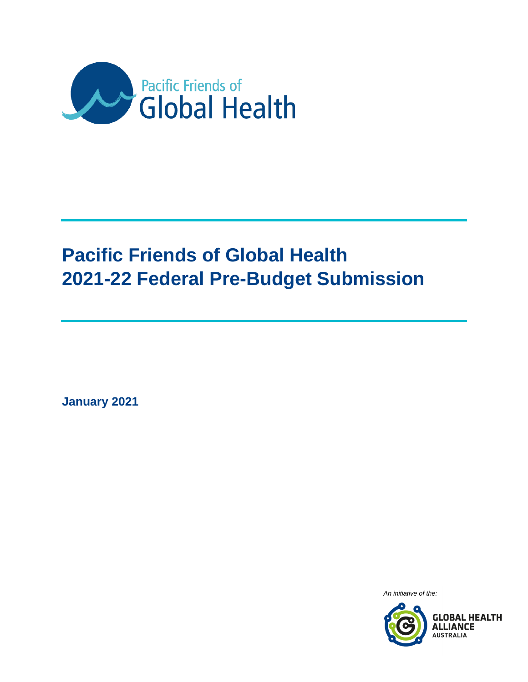

# **Pacific Friends of Global Health 2021-22 Federal Pre-Budget Submission**

**January 2021**

An initiative of the:

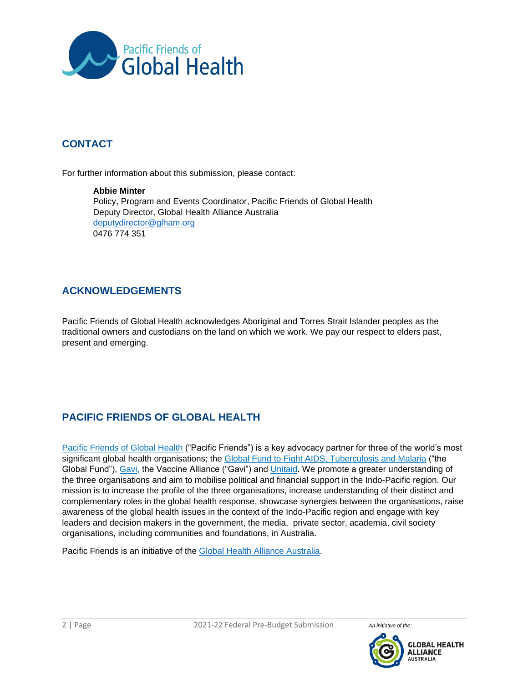

# **CONTACT**

For further information about this submission, please contact:

#### **Abbie Minter** Policy, Program and Events Coordinator, Pacific Friends of Global Health Deputy Director, Global Health Alliance Australia [deputydirector@glham.org](mailto:deputydirector@glham.org) 0476 774 351

# **ACKNOWLEDGEMENTS**

Pacific Friends of Global Health acknowledges Aboriginal and Torres Strait Islander peoples as the traditional owners and custodians on the land on which we work. We pay our respect to elders past, present and emerging.

# **PACIFIC FRIENDS OF GLOBAL HEALTH**

[Pacific Friends of Global Health](http://glham.org/pfgh/) ("Pacific Friends") is a key advocacy partner for three of the world's most significant global health organisations; the [Global Fund to Fight AIDS, Tuberculosis and Malaria](https://www.theglobalfund.org/en/friends/) ("the Global Fund"), [Gavi,](https://www.gavi.org/) the Vaccine Alliance ("Gavi") and [Unitaid.](https://unitaid.org/) We promote a greater understanding of the three organisations and aim to mobilise political and financial support in the Indo-Pacific region. Our mission is to increase the profile of the three organisations, increase understanding of their distinct and complementary roles in the global health response, showcase synergies between the organisations, raise awareness of the global health issues in the context of the Indo-Pacific region and engage with key leaders and decision makers in the government, the media, private sector, academia, civil society organisations, including communities and foundations, in Australia.

Pacific Friends is an initiative of the [Global Health Alliance Australia.](http://glham.org/)

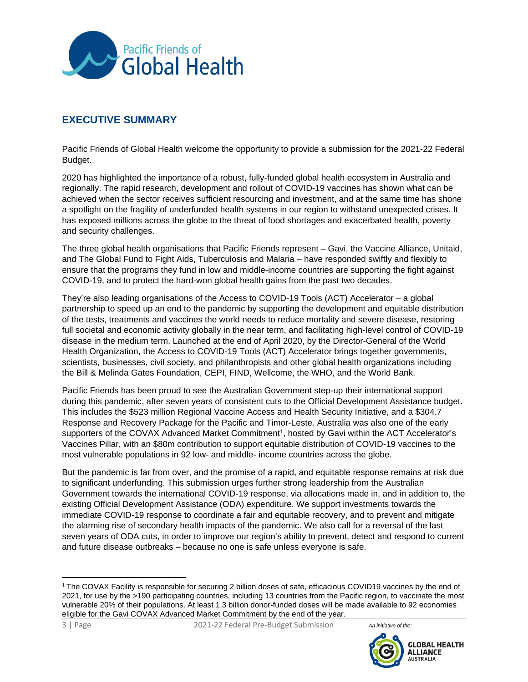

## **EXECUTIVE SUMMARY**

Pacific Friends of Global Health welcome the opportunity to provide a submission for the 2021-22 Federal Budget.

2020 has highlighted the importance of a robust, fully-funded global health ecosystem in Australia and regionally. The rapid research, development and rollout of COVID-19 vaccines has shown what can be achieved when the sector receives sufficient resourcing and investment, and at the same time has shone a spotlight on the fragility of underfunded health systems in our region to withstand unexpected crises. It has exposed millions across the globe to the threat of food shortages and exacerbated health, poverty and security challenges.

The three global health organisations that Pacific Friends represent – Gavi, the Vaccine Alliance, Unitaid, and The Global Fund to Fight Aids, Tuberculosis and Malaria – have responded swiftly and flexibly to ensure that the programs they fund in low and middle-income countries are supporting the fight against COVID-19, and to protect the hard-won global health gains from the past two decades.

They're also leading organisations of the Access to COVID-19 Tools (ACT) Accelerator – a global partnership to speed up an end to the pandemic by supporting the development and equitable distribution of the tests, treatments and vaccines the world needs to reduce mortality and severe disease, restoring full societal and economic activity globally in the near term, and facilitating high-level control of COVID-19 disease in the medium term. Launched at the end of April 2020, by the Director-General of the World Health Organization, the Access to COVID-19 Tools (ACT) Accelerator brings together governments, scientists, businesses, civil society, and philanthropists and other global health organizations including the Bill & Melinda Gates Foundation, CEPI, FIND, Wellcome, the WHO, and the World Bank.

Pacific Friends has been proud to see the Australian Government step-up their international support during this pandemic, after seven years of consistent cuts to the Official Development Assistance budget. This includes the \$523 million Regional Vaccine Access and Health Security Initiative, and a \$304.7 Response and Recovery Package for the Pacific and Timor-Leste. Australia was also one of the early supporters of the COVAX Advanced Market Commitment<sup>1</sup>, hosted by Gavi within the ACT Accelerator's Vaccines Pillar, with an \$80m contribution to support equitable distribution of COVID-19 vaccines to the most vulnerable populations in 92 low- and middle- income countries across the globe.

But the pandemic is far from over, and the promise of a rapid, and equitable response remains at risk due to significant underfunding. This submission urges further strong leadership from the Australian Government towards the international COVID-19 response, via allocations made in, and in addition to, the existing Official Development Assistance (ODA) expenditure. We support investments towards the immediate COVID-19 response to coordinate a fair and equitable recovery, and to prevent and mitigate the alarming rise of secondary health impacts of the pandemic. We also call for a reversal of the last seven years of ODA cuts, in order to improve our region's ability to prevent, detect and respond to current and future disease outbreaks – because no one is safe unless everyone is safe.





 $\overline{\phantom{a}}$ 

<sup>&</sup>lt;sup>1</sup> The COVAX Facility is responsible for securing 2 billion doses of safe, efficacious COVID19 vaccines by the end of 2021, for use by the >190 participating countries, including 13 countries from the Pacific region, to vaccinate the most vulnerable 20% of their populations. At least 1.3 billion donor-funded doses will be made available to 92 economies eligible for the Gavi COVAX Advanced Market Commitment by the end of the year.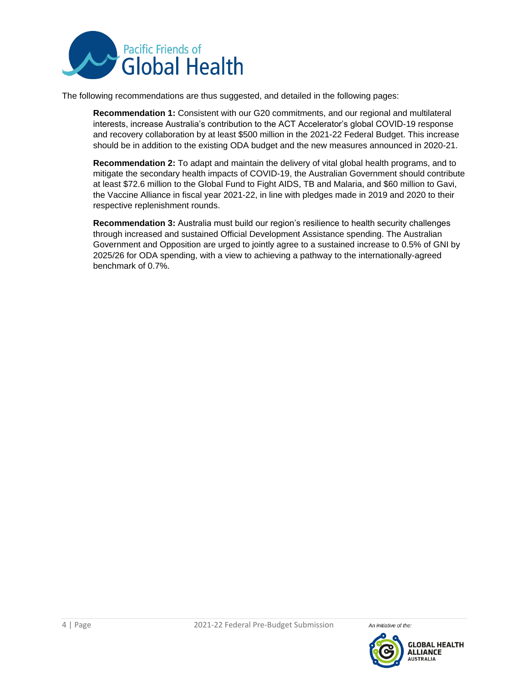

The following recommendations are thus suggested, and detailed in the following pages:

**Recommendation 1:** Consistent with our G20 commitments, and our regional and multilateral interests, increase Australia's contribution to the ACT Accelerator's global COVID-19 response and recovery collaboration by at least \$500 million in the 2021-22 Federal Budget. This increase should be in addition to the existing ODA budget and the new measures announced in 2020-21.

**Recommendation 2:** To adapt and maintain the delivery of vital global health programs, and to mitigate the secondary health impacts of COVID-19, the Australian Government should contribute at least \$72.6 million to the Global Fund to Fight AIDS, TB and Malaria, and \$60 million to Gavi, the Vaccine Alliance in fiscal year 2021-22, in line with pledges made in 2019 and 2020 to their respective replenishment rounds.

**Recommendation 3:** Australia must build our region's resilience to health security challenges through increased and sustained Official Development Assistance spending. The Australian Government and Opposition are urged to jointly agree to a sustained increase to 0.5% of GNI by 2025/26 for ODA spending, with a view to achieving a pathway to the internationally-agreed benchmark of 0.7%.

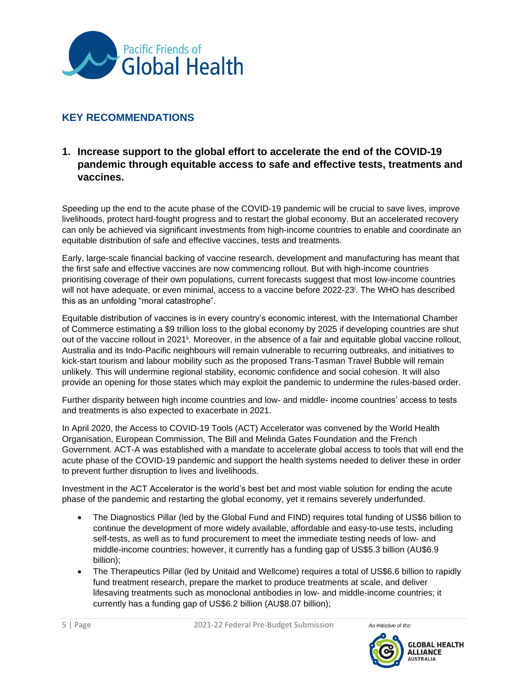

## **KEY RECOMMENDATIONS**

#### **1. Increase support to the global effort to accelerate the end of the COVID-19 pandemic through equitable access to safe and effective tests, treatments and vaccines.**

Speeding up the end to the acute phase of the COVID-19 pandemic will be crucial to save lives, improve livelihoods, protect hard-fought progress and to restart the global economy. But an accelerated recovery can only be achieved via significant investments from high-income countries to enable and coordinate an equitable distribution of safe and effective vaccines, tests and treatments.

Early, large-scale financial backing of vaccine research, development and manufacturing has meant that the first safe and effective vaccines are now commencing rollout. But with high-income countries prioritising coverage of their own populations, current forecasts suggest that most low-income countries will not have adequate, or even minimal, access to a vaccine before 2022-23<sup>i</sup>. The WHO has described this as an unfolding "moral catastrophe".

Equitable distribution of vaccines is in every country's economic interest, with the International Chamber of Commerce estimating a \$9 trillion loss to the global economy by 2025 if developing countries are shut out of the vaccine rollout in 2021<sup>ii</sup>. Moreover, in the absence of a fair and equitable global vaccine rollout, Australia and its Indo-Pacific neighbours will remain vulnerable to recurring outbreaks, and initiatives to kick-start tourism and labour mobility such as the proposed Trans-Tasman Travel Bubble will remain unlikely. This will undermine regional stability, economic confidence and social cohesion. It will also provide an opening for those states which may exploit the pandemic to undermine the rules-based order.

Further disparity between high income countries and low- and middle- income countries' access to tests and treatments is also expected to exacerbate in 2021.

In April 2020, the Access to COVID-19 Tools (ACT) Accelerator was convened by the World Health Organisation, European Commission, The Bill and Melinda Gates Foundation and the French Government. ACT-A was established with a mandate to accelerate global access to tools that will end the acute phase of the COVID-19 pandemic and support the health systems needed to deliver these in order to prevent further disruption to lives and livelihoods.

Investment in the ACT Accelerator is the world's best bet and most viable solution for ending the acute phase of the pandemic and restarting the global economy, yet it remains severely underfunded.

- The Diagnostics Pillar (led by the Global Fund and FIND) requires total funding of US\$6 billion to continue the development of more widely available, affordable and easy-to-use tests, including self-tests, as well as to fund procurement to meet the immediate testing needs of low- and middle-income countries; however, it currently has a funding gap of US\$5.3 billion (AU\$6.9 billion);
- The Therapeutics Pillar (led by Unitaid and Wellcome) requires a total of US\$6.6 billion to rapidly fund treatment research, prepare the market to produce treatments at scale, and deliver lifesaving treatments such as monoclonal antibodies in low- and middle-income countries; it currently has a funding gap of US\$6.2 billion (AU\$8.07 billion);

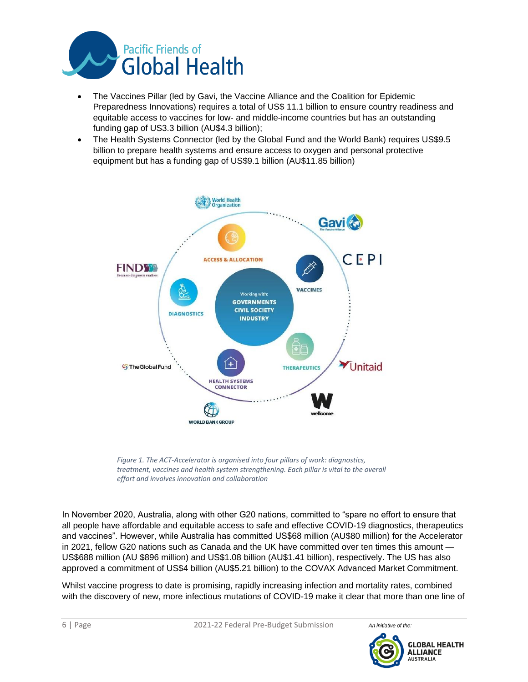

- The Vaccines Pillar (led by Gavi, the Vaccine Alliance and the Coalition for Epidemic Preparedness Innovations) requires a total of US\$ 11.1 billion to ensure country readiness and equitable access to vaccines for low- and middle-income countries but has an outstanding funding gap of US3.3 billion (AU\$4.3 billion);
- The Health Systems Connector (led by the Global Fund and the World Bank) requires US\$9.5 billion to prepare health systems and ensure access to oxygen and personal protective equipment but has a funding gap of US\$9.1 billion (AU\$11.85 billion)



*Figure 1. The ACT-Accelerator is organised into four pillars of work: diagnostics, treatment, vaccines and health system strengthening. Each pillar is vital to the overall effort and involves innovation and collaboration*

In November 2020, Australia, along with other G20 nations, committed to "spare no effort to ensure that all people have affordable and equitable access to safe and effective COVID-19 diagnostics, therapeutics and vaccines". However, while Australia has committed US\$68 million (AU\$80 million) for the Accelerator in 2021, fellow G20 nations such as Canada and the UK have committed over ten times this amount — US\$688 million (AU \$896 million) and US\$1.08 billion (AU\$1.41 billion), respectively. The US has also approved a commitment of US\$4 billion (AU\$5.21 billion) to the COVAX Advanced Market Commitment.

Whilst vaccine progress to date is promising, rapidly increasing infection and mortality rates, combined with the discovery of new, more infectious mutations of COVID-19 make it clear that more than one line of

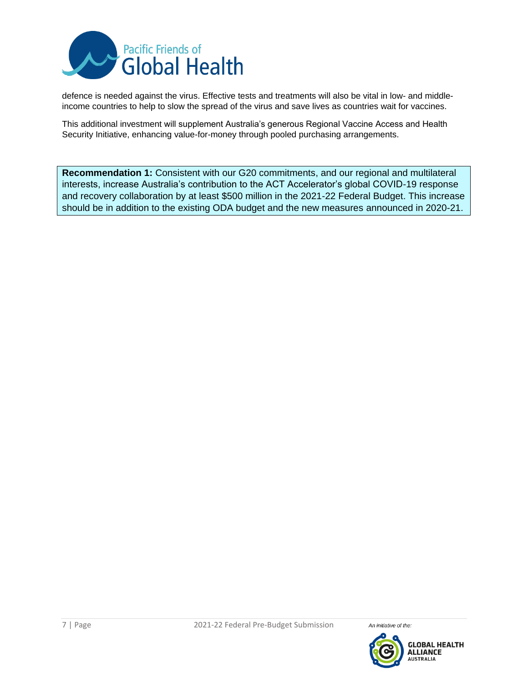

defence is needed against the virus. Effective tests and treatments will also be vital in low- and middleincome countries to help to slow the spread of the virus and save lives as countries wait for vaccines.

This additional investment will supplement Australia's generous Regional Vaccine Access and Health Security Initiative, enhancing value-for-money through pooled purchasing arrangements.

**Recommendation 1:** Consistent with our G20 commitments, and our regional and multilateral interests, increase Australia's contribution to the ACT Accelerator's global COVID-19 response and recovery collaboration by at least \$500 million in the 2021-22 Federal Budget. This increase should be in addition to the existing ODA budget and the new measures announced in 2020-21.

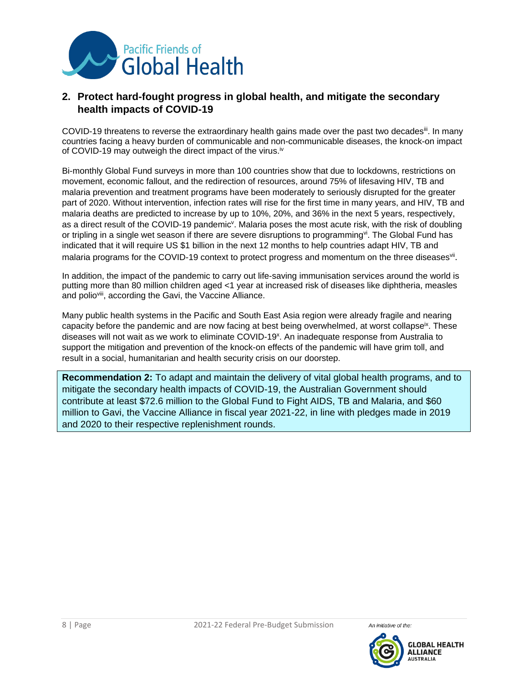

#### **2. Protect hard-fought progress in global health, and mitigate the secondary health impacts of COVID-19**

COVID-19 threatens to reverse the extraordinary health gains made over the past two decades<sup>iii</sup>. In many countries facing a heavy burden of communicable and non-communicable diseases, the knock-on impact of COVID-19 may outweigh the direct impact of the virus.<sup>iv</sup>

Bi-monthly Global Fund surveys in more than 100 countries show that due to lockdowns, restrictions on movement, economic fallout, and the redirection of resources, around 75% of lifesaving HIV, TB and malaria prevention and treatment programs have been moderately to seriously disrupted for the greater part of 2020. Without intervention, infection rates will rise for the first time in many years, and HIV, TB and malaria deaths are predicted to increase by up to 10%, 20%, and 36% in the next 5 years, respectively, as a direct result of the COVID-19 pandemic<sup>v</sup>. Malaria poses the most acute risk, with the risk of doubling or tripling in a single wet season if there are severe disruptions to programming<sup>vi</sup>. The Global Fund has indicated that it will require US \$1 billion in the next 12 months to help countries adapt HIV, TB and malaria programs for the COVID-19 context to protect progress and momentum on the three diseasesvil.

In addition, the impact of the pandemic to carry out life-saving immunisation services around the world is putting more than 80 million children aged <1 year at increased risk of diseases like diphtheria, measles and polio<sup>viii</sup>, according the Gavi, the Vaccine Alliance.

Many public health systems in the Pacific and South East Asia region were already fragile and nearing capacity before the pandemic and are now facing at best being overwhelmed, at worst collapse<sup>ix</sup>. These diseases will not wait as we work to eliminate COVID-19<sup>x</sup>. An inadequate response from Australia to support the mitigation and prevention of the knock-on effects of the pandemic will have grim toll, and result in a social, humanitarian and health security crisis on our doorstep.

**Recommendation 2:** To adapt and maintain the delivery of vital global health programs, and to mitigate the secondary health impacts of COVID-19, the Australian Government should contribute at least \$72.6 million to the Global Fund to Fight AIDS, TB and Malaria, and \$60 million to Gavi, the Vaccine Alliance in fiscal year 2021-22, in line with pledges made in 2019 and 2020 to their respective replenishment rounds.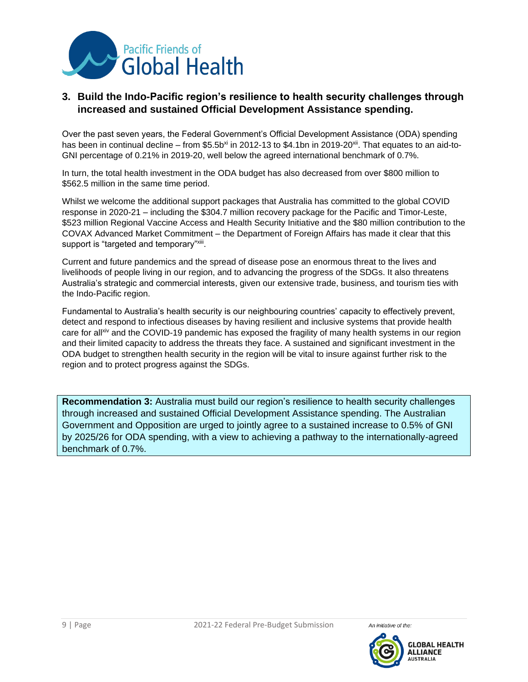

#### **3. Build the Indo-Pacific region's resilience to health security challenges through increased and sustained Official Development Assistance spending.**

Over the past seven years, the Federal Government's Official Development Assistance (ODA) spending has been in continual decline – from \$5.5b<sup>xi</sup> in 2012-13 to \$4.1bn in 2019-20<sup>xii</sup>. That equates to an aid-to-GNI percentage of 0.21% in 2019-20, well below the agreed international benchmark of 0.7%.

In turn, the total health investment in the ODA budget has also decreased from over \$800 million to \$562.5 million in the same time period.

Whilst we welcome the additional support packages that Australia has committed to the global COVID response in 2020-21 – including the \$304.7 million recovery package for the Pacific and Timor-Leste, \$523 million Regional Vaccine Access and Health Security Initiative and the \$80 million contribution to the COVAX Advanced Market Commitment – the Department of Foreign Affairs has made it clear that this support is "targeted and temporary"<sup>xiii</sup>.

Current and future pandemics and the spread of disease pose an enormous threat to the lives and livelihoods of people living in our region, and to advancing the progress of the SDGs. It also threatens Australia's strategic and commercial interests, given our extensive trade, business, and tourism ties with the Indo-Pacific region.

Fundamental to Australia's health security is our neighbouring countries' capacity to effectively prevent, detect and respond to infectious diseases by having resilient and inclusive systems that provide health care for all<sup>xiv</sup> and the COVID-19 pandemic has exposed the fragility of many health systems in our region and their limited capacity to address the threats they face. A sustained and significant investment in the ODA budget to strengthen health security in the region will be vital to insure against further risk to the region and to protect progress against the SDGs.

**Recommendation 3:** Australia must build our region's resilience to health security challenges through increased and sustained Official Development Assistance spending. The Australian Government and Opposition are urged to jointly agree to a sustained increase to 0.5% of GNI by 2025/26 for ODA spending, with a view to achieving a pathway to the internationally-agreed benchmark of 0.7%.